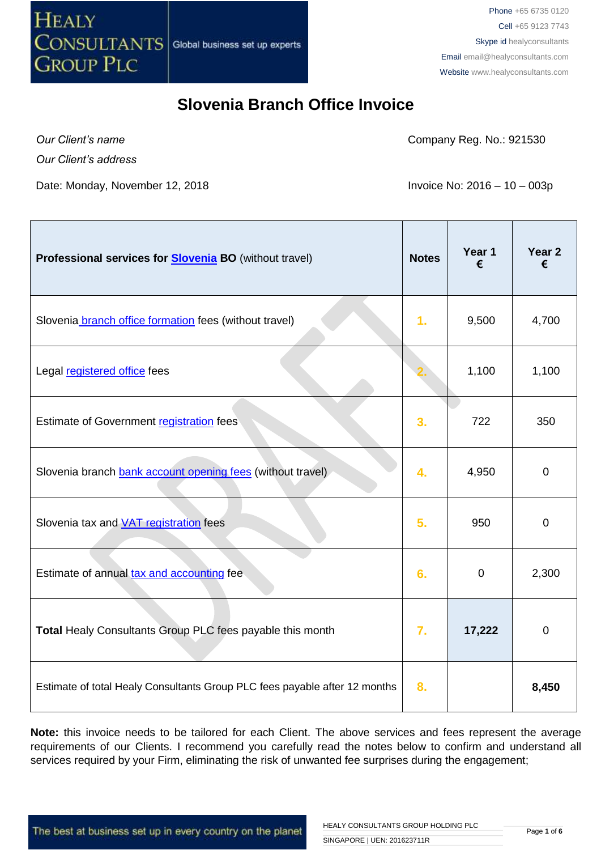

*Our Client's name*

Company Reg. No.: 921530

*Our Client's address*

Date: Monday, November 12, 2018 **Invoice No: 2016 – 10 – 003p** 

| Professional services for <b>Slovenia BO</b> (without travel)              | <b>Notes</b>     | Year 1<br>€ | Year <sub>2</sub><br>€ |
|----------------------------------------------------------------------------|------------------|-------------|------------------------|
| Slovenia branch office formation fees (without travel)                     | 1.               | 9,500       | 4,700                  |
| Legal registered office fees                                               |                  | 1,100       | 1,100                  |
| Estimate of Government registration fees                                   | 3.               | 722         | 350                    |
| Slovenia branch bank account opening fees (without travel)                 | $\overline{4}$ . | 4,950       | $\mathbf 0$            |
| Slovenia tax and <b>VAT</b> registration fees                              | 5.               | 950         | $\mathbf 0$            |
| Estimate of annual tax and accounting fee                                  | 6.               | $\mathbf 0$ | 2,300                  |
| Total Healy Consultants Group PLC fees payable this month                  | 7.               | 17,222      | $\mathbf 0$            |
| Estimate of total Healy Consultants Group PLC fees payable after 12 months | 8.               |             | 8,450                  |

Note: this invoice needs to be tailored for each Client. The above services and fees represent the average requirements of our Clients. I recommend you carefully read the notes below to confirm and understand all services required by your Firm, eliminating the risk of unwanted fee surprises during the engagement;

The best at business set up in every country on the planet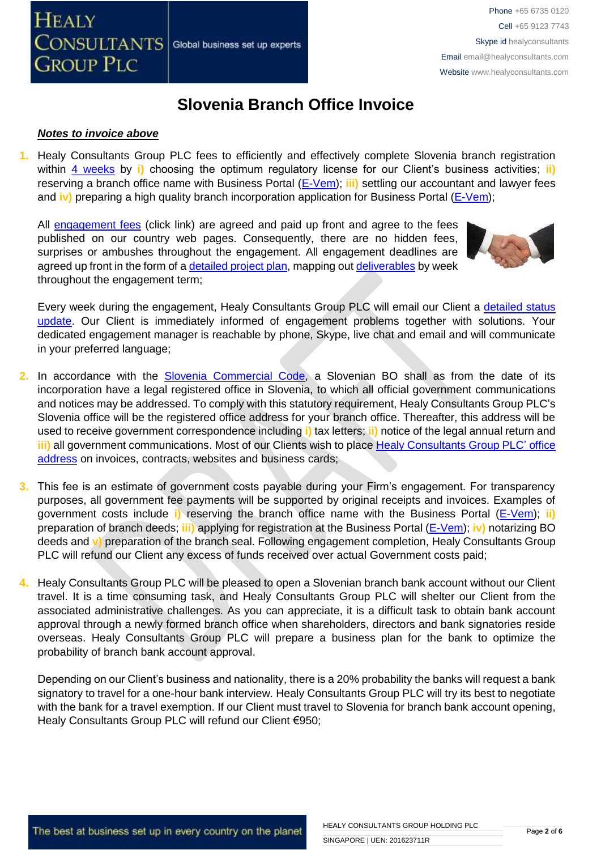#### *Notes to invoice above*

**1.** Healy Consultants Group PLC fees to efficiently and effectively complete Slovenia branch registration within [4 weeks](http://www.healyconsultants.com/slovenia-company-registration/fees-timelines/#timelines) by i) choosing the optimum regulatory license for our Client's business activities; ii) reserving a branch office name with Business Portal [\(E-Vem\)](http://evem.gov.si/evem/drzavljani/zacetna.evem); **iii)** settling our accountant and lawyer fees and **iv)** preparing a high quality branch incorporation application for Business Portal [\(E-Vem\)](http://evem.gov.si/evem/drzavljani/zacetna.evem);

All [engagement fees](http://www.healyconsultants.com/company-registration-fees/) (click link) are agreed and paid up front and agree to the fees published on our country web pages. Consequently, there are no hidden fees, surprises or ambushes throughout the engagement. All engagement deadlines are agreed up front in the form of a [detailed project plan,](http://www.healyconsultants.com/index-important-links/example-project-plan/) mapping ou[t deliverables](http://www.healyconsultants.com/deliverables-to-our-clients/) by week throughout the engagement term;

Every week during the engagement, Healy Consultants Group PLC will email our Client a [detailed status](http://www.healyconsultants.com/index-important-links/weekly-engagement-status-email/)  [update.](http://www.healyconsultants.com/index-important-links/weekly-engagement-status-email/) Our Client is immediately informed of engagement problems together with solutions. Your dedicated engagement manager is reachable by phone, Skype, live chat and email and will communicate in your preferred language;

- **2.** In accordance with the [Slovenia Commercial Code,](http://poslovniportal.si/Doing_Business_Slovenia.php) a Slovenian BO shall as from the date of its incorporation have a legal registered office in Slovenia, to which all official government communications and notices may be addressed. To comply with this statutory requirement, Healy Consultants Group PLC's Slovenia office will be the registered office address for your branch office. Thereafter, this address will be used to receive government correspondence including **i)** tax letters; **ii)** notice of the legal annual return and **iii)** all government communications. Most of our Clients wish to place [Healy Consultants Group PLC'](http://www.healyconsultants.com/corporate-outsourcing-services/company-secretary-and-legal-registered-office/) office [address](http://www.healyconsultants.com/corporate-outsourcing-services/company-secretary-and-legal-registered-office/) on invoices, contracts, websites and business cards;
- **3.** This fee is an estimate of government costs payable during your Firm's engagement. For transparency purposes, all government fee payments will be supported by original receipts and invoices. Examples of government costs include **i)** reserving the branch office name with the Business Portal [\(E-Vem\)](http://evem.gov.si/evem/drzavljani/zacetna.evem); **ii)** preparation of branch deeds; **iii)** applying for registration at the Business Portal [\(E-Vem\)](http://evem.gov.si/evem/drzavljani/zacetna.evem); **iv)** notarizing BO deeds and **v)** preparation of the branch seal. Following engagement completion, Healy Consultants Group PLC will refund our Client any excess of funds received over actual Government costs paid;
- **4.** Healy Consultants Group PLC will be pleased to open a Slovenian branch bank account without our Client travel. It is a time consuming task, and Healy Consultants Group PLC will shelter our Client from the associated administrative challenges. As you can appreciate, it is a difficult task to obtain bank account approval through a newly formed branch office when shareholders, directors and bank signatories reside overseas. Healy Consultants Group PLC will prepare a business plan for the bank to optimize the probability of branch bank account approval.

Depending on our Client's business and nationality, there is a 20% probability the banks will request a bank signatory to travel for a one-hour bank interview. Healy Consultants Group PLC will try its best to negotiate with the bank for a travel exemption. If our Client must travel to Slovenia for branch bank account opening, Healy Consultants Group PLC will refund our Client €950;

The best at business set up in every country on the planet

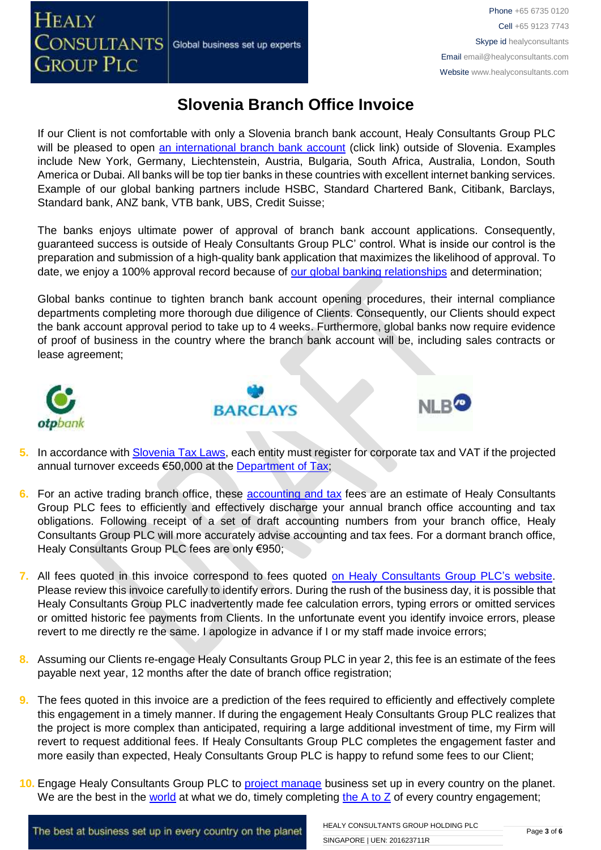**HEALY** 

## **Slovenia Branch Office Invoice**

If our Client is not comfortable with only a Slovenia branch bank account, Healy Consultants Group PLC will be pleased to open [an international branch bank account](http://www.healyconsultants.com/international-banking/) (click link) outside of Slovenia. Examples include New York, Germany, Liechtenstein, Austria, Bulgaria, South Africa, Australia, London, South America or Dubai. All banks will be top tier banks in these countries with excellent internet banking services. Example of our global banking partners include HSBC, Standard Chartered Bank, Citibank, Barclays, Standard bank, ANZ bank, VTB bank, UBS, Credit Suisse;

The banks enjoys ultimate power of approval of branch bank account applications. Consequently, guaranteed success is outside of Healy Consultants Group PLC' control. What is inside our control is the preparation and submission of a high-quality bank application that maximizes the likelihood of approval. To date, we enjoy a 100% approval record because of [our global banking relationships](http://www.healyconsultants.com/international-banking/corporate-accounts/) and determination;

Global banks continue to tighten branch bank account opening procedures, their internal compliance departments completing more thorough due diligence of Clients. Consequently, our Clients should expect the bank account approval period to take up to 4 weeks. Furthermore, global banks now require evidence of proof of business in the country where the branch bank account will be, including sales contracts or lease agreement;



- **5.** In accordance with [Slovenia Tax Laws,](http://www.mf.gov.si/fileadmin/mf.gov.si/pageuploads/Davki_in_carine/Angle%C5%A1ki/Taxation_in_Slovenia_2013.pdf) each entity must register for corporate tax and VAT if the projected annual turnover exceeds €50,000 at the [Department of Tax;](http://www.fu.gov.si/)
- **6.** For an active trading branch office, these [accounting and tax](http://www.healyconsultants.com/slovenia-company-registration/accounting-legal/) fees are an estimate of Healy Consultants Group PLC fees to efficiently and effectively discharge your annual branch office accounting and tax obligations. Following receipt of a set of draft accounting numbers from your branch office, Healy Consultants Group PLC will more accurately advise accounting and tax fees. For a dormant branch office, Healy Consultants Group PLC fees are only €950;
- **7.** All fees quoted in this invoice correspond to fees quoted [on Healy Consultants Group PLC's](http://www.healyconsultants.com/company-registration-fees/) website. Please review this invoice carefully to identify errors. During the rush of the business day, it is possible that Healy Consultants Group PLC inadvertently made fee calculation errors, typing errors or omitted services or omitted historic fee payments from Clients. In the unfortunate event you identify invoice errors, please revert to me directly re the same. I apologize in advance if I or my staff made invoice errors;
- **8.** Assuming our Clients re-engage Healy Consultants Group PLC in year 2, this fee is an estimate of the fees payable next year, 12 months after the date of branch office registration;
- **9.** The fees quoted in this invoice are a prediction of the fees required to efficiently and effectively complete this engagement in a timely manner. If during the engagement Healy Consultants Group PLC realizes that the project is more complex than anticipated, requiring a large additional investment of time, my Firm will revert to request additional fees. If Healy Consultants Group PLC completes the engagement faster and more easily than expected, Healy Consultants Group PLC is happy to refund some fees to our Client;
- **10.** Engage Healy Consultants Group PLC to [project manage](http://www.healyconsultants.com/project-manage-engagements/) business set up in every country on the planet. We are the best in the [world](http://www.healyconsultants.com/best-in-the-world/) at what we do, timely completing the  $A$  to  $Z$  of every country engagement;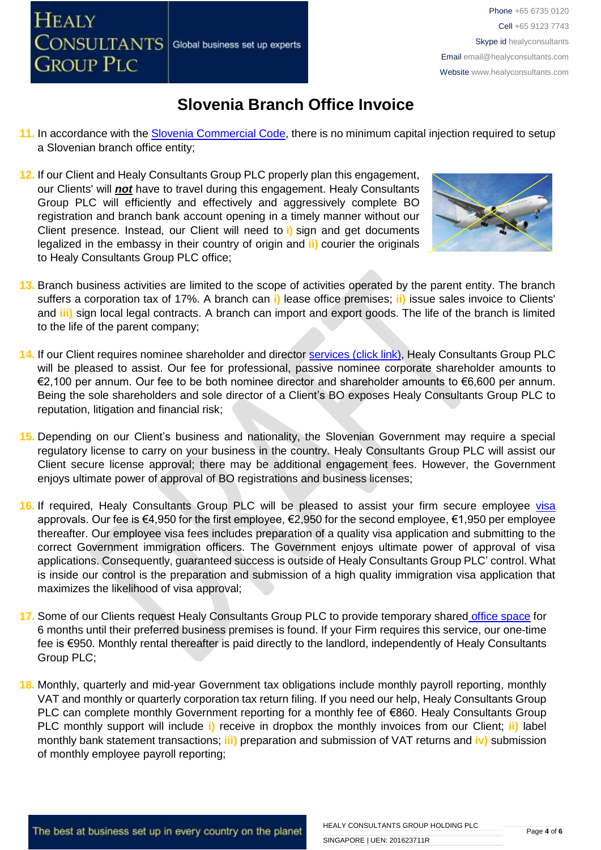

- **11.** In accordance with the [Slovenia Commercial Code,](http://poslovniportal.si/Doing_Business_Slovenia.php) there is no minimum capital injection required to setup a Slovenian branch office entity;
- **12.** If our Client and Healy Consultants Group PLC properly plan this engagement, our Clients' will *not* have to travel during this engagement. Healy Consultants Group PLC will efficiently and effectively and aggressively complete BO registration and branch bank account opening in a timely manner without our Client presence. Instead, our Client will need to **i)** sign and get documents legalized in the embassy in their country of origin and **ii)** courier the originals to Healy Consultants Group PLC office;



- **13.** Branch business activities are limited to the scope of activities operated by the parent entity. The branch suffers a corporation tax of 17%. A branch can **i)** lease office premises; **ii)** issue sales invoice to Clients' and **iii)** sign local legal contracts. A branch can import and export goods. The life of the branch is limited to the life of the parent company;
- **14.** If our Client requires nominee shareholder and director services [\(click link\),](http://www.healyconsultants.com/corporate-outsourcing-services/nominee-shareholders-directors/) Healy Consultants Group PLC will be pleased to assist. Our fee for professional, passive nominee corporate shareholder amounts to €2,100 per annum. Our fee to be both nominee director and shareholder amounts to €6,600 per annum. Being the sole shareholders and sole director of a Client's BO exposes Healy Consultants Group PLC to reputation, litigation and financial risk;
- **15.** Depending on our Client's business and nationality, the Slovenian Government may require a special regulatory license to carry on your business in the country. Healy Consultants Group PLC will assist our Client secure license approval; there may be additional engagement fees. However, the Government enjoys ultimate power of approval of BO registrations and business licenses;
- 16. If required, Healy Consultants Group PLC will be pleased to assist your firm secure employee [visa](http://www.healyconsultants.com/support-services/) approvals. Our fee is €4,950 for the first employee, €2,950 for the second employee, €1,950 per employee thereafter. Our employee visa fees includes preparation of a quality visa application and submitting to the correct Government immigration officers. The Government enjoys ultimate power of approval of visa applications. Consequently, guaranteed success is outside of Healy Consultants Group PLC' control. What is inside our control is the preparation and submission of a high quality immigration visa application that maximizes the likelihood of visa approval;
- 17. Some of our Clients request Healy Consultants Group PLC to provide temporary shared [office space](http://www.healyconsultants.com/virtual-office/) for 6 months until their preferred business premises is found. If your Firm requires this service, our one-time fee is €950. Monthly rental thereafter is paid directly to the landlord, independently of Healy Consultants Group PLC;
- **18.** Monthly, quarterly and mid-year Government tax obligations include monthly payroll reporting, monthly VAT and monthly or quarterly corporation tax return filing. If you need our help, Healy Consultants Group PLC can complete monthly Government reporting for a monthly fee of €860. Healy Consultants Group PLC monthly support will include **i)** receive in dropbox the monthly invoices from our Client; **ii)** label monthly bank statement transactions; **iii)** preparation and submission of VAT returns and **iv)** submission of monthly employee payroll reporting;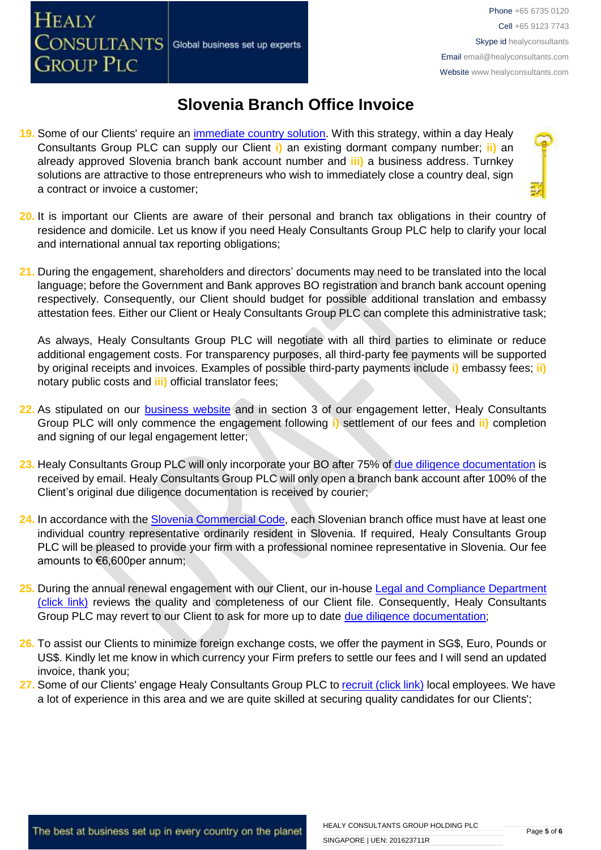**19.** Some of our Clients' require an [immediate country solution.](http://www.healyconsultants.com/turnkey-solutions/) With this strategy, within a day Healy Consultants Group PLC can supply our Client **i)** an existing dormant company number; **ii)** an already approved Slovenia branch bank account number and **iii)** a business address. Turnkey solutions are attractive to those entrepreneurs who wish to immediately close a country deal, sign a contract or invoice a customer;

Global business set up experts

**HEALY** 

**CONSULTANTS** 

**GROUP PLC** 

- 
- **20.** It is important our Clients are aware of their personal and branch tax obligations in their country of residence and domicile. Let us know if you need Healy Consultants Group PLC help to clarify your local and international annual tax reporting obligations;
- **21.** During the engagement, shareholders and directors' documents may need to be translated into the local language; before the Government and Bank approves BO registration and branch bank account opening respectively. Consequently, our Client should budget for possible additional translation and embassy attestation fees. Either our Client or Healy Consultants Group PLC can complete this administrative task;

As always, Healy Consultants Group PLC will negotiate with all third parties to eliminate or reduce additional engagement costs. For transparency purposes, all third-party fee payments will be supported by original receipts and invoices. Examples of possible third-party payments include **i)** embassy fees; **ii)** notary public costs and **iii)** official translator fees;

- **22.** As stipulated on our [business website](http://www.healyconsultants.com/) and in section 3 of our engagement letter, Healy Consultants Group PLC will only commence the engagement following **i)** settlement of our fees and **ii)** completion and signing of our legal engagement letter:
- **23.** Healy Consultants Group PLC will only incorporate your BO after 75% of [due diligence documentation](http://www.healyconsultants.com/due-diligence/) is received by email. Healy Consultants Group PLC will only open a branch bank account after 100% of the Client's original due diligence documentation is received by courier;
- 24. In accordance with the [Slovenia Commercial Code,](http://poslovniportal.si/Doing_Business_Slovenia.php) each Slovenian branch office must have at least one individual country representative ordinarily resident in Slovenia. If required, Healy Consultants Group PLC will be pleased to provide your firm with a professional nominee representative in Slovenia. Our fee amounts to €6,600per annum;
- **25.** During the annual renewal engagement with our Client, our in-hous[e Legal and Compliance Department](http://www.healyconsultants.com/about-us/key-personnel/cai-xin-profile/)  [\(click link\)](http://www.healyconsultants.com/about-us/key-personnel/cai-xin-profile/) reviews the quality and completeness of our Client file. Consequently, Healy Consultants Group PLC may revert to our Client to ask for more up to date [due diligence documentation;](http://www.healyconsultants.com/due-diligence/)
- **26.** To assist our Clients to minimize foreign exchange costs, we offer the payment in SG\$, Euro, Pounds or US\$. Kindly let me know in which currency your Firm prefers to settle our fees and I will send an updated invoice, thank you;
- 27. Some of our Clients' engage Healy Consultants Group PLC t[o recruit \(click link\)](http://www.healyconsultants.com/corporate-outsourcing-services/how-we-help-our-clients-recruit-quality-employees/) local employees. We have a lot of experience in this area and we are quite skilled at securing quality candidates for our Clients';